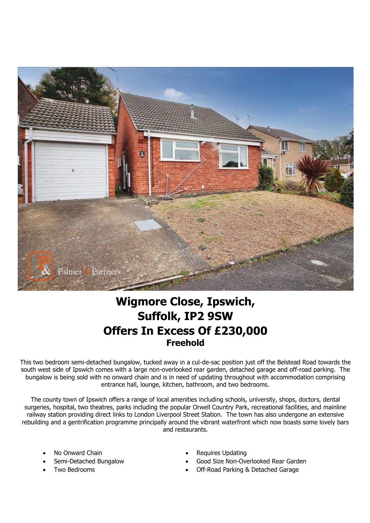

## **Wigmore Close, Ipswich, Suffolk, IP2 9SW Offers In Excess Of £230,000 Freehold**

This two bedroom semi-detached bungalow, tucked away in a cul-de-sac position just off the Belstead Road towards the south west side of Ipswich comes with a large non-overlooked rear garden, detached garage and off-road parking. The bungalow is being sold with no onward chain and is in need of updating throughout with accommodation comprising entrance hall, lounge, kitchen, bathroom, and two bedrooms.

The county town of Ipswich offers a range of local amenities including schools, university, shops, doctors, dental surgeries, hospital, two theatres, parks including the popular Orwell Country Park, recreational facilities, and mainline railway station providing direct links to London Liverpool Street Station. The town has also undergone an extensive rebuilding and a gentrification programme principally around the vibrant waterfront which now boasts some lovely bars and restaurants.

- 
- 
- 
- No Onward Chain  **Requires Updating**
- Semi-Detached Bungalow Good Size Non-Overlooked Rear Garden
	- Two Bedrooms Off-Road Parking & Detached Garage